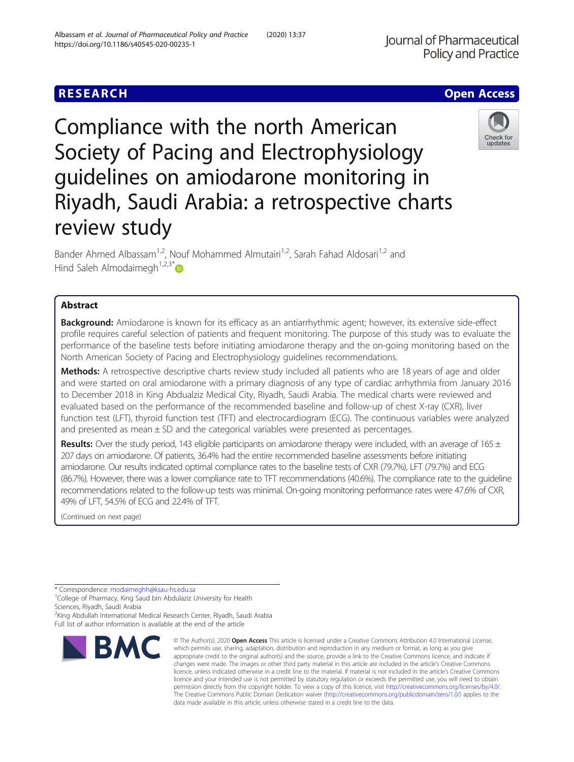# **RESEARCH CHE Open Access**

Compliance with the north American Society of Pacing and Electrophysiology guidelines on amiodarone monitoring in Riyadh, Saudi Arabia: a retrospective charts review study

Bander Ahmed Albassam<sup>1,2</sup>, Nouf Mohammed Almutairi<sup>1,2</sup>, Sarah Fahad Aldosari<sup>1,2</sup> and Hind Saleh Almodaimegh<sup>1,2,3\*</sup> $\bullet$ 

# Abstract

Background: Amiodarone is known for its efficacy as an antiarrhythmic agent; however, its extensive side-effect profile requires careful selection of patients and frequent monitoring. The purpose of this study was to evaluate the performance of the baseline tests before initiating amiodarone therapy and the on-going monitoring based on the North American Society of Pacing and Electrophysiology guidelines recommendations.

Methods: A retrospective descriptive charts review study included all patients who are 18 years of age and older and were started on oral amiodarone with a primary diagnosis of any type of cardiac arrhythmia from January 2016 to December 2018 in King Abdualziz Medical City, Riyadh, Saudi Arabia. The medical charts were reviewed and evaluated based on the performance of the recommended baseline and follow-up of chest X-ray (CXR), liver function test (LFT), thyroid function test (TFT) and electrocardiogram (ECG). The continuous variables were analyzed and presented as mean  $\pm$  SD and the categorical variables were presented as percentages.

Results: Over the study period, 143 eligible participants on amiodarone therapy were included, with an average of 165  $\pm$ 207 days on amiodarone. Of patients, 36.4% had the entire recommended baseline assessments before initiating amiodarone. Our results indicated optimal compliance rates to the baseline tests of CXR (79.7%), LFT (79.7%) and ECG (86.7%). However, there was a lower compliance rate to TFT recommendations (40.6%). The compliance rate to the guideline recommendations related to the follow-up tests was minimal. On-going monitoring performance rates were 47.6% of CXR, 49% of LFT, 54.5% of ECG and 22.4% of TFT.

© The Author(s), 2020 **Open Access** This article is licensed under a Creative Commons Attribution 4.0 International License,

(Continued on next page)

<sup>2</sup>King Abdullah International Medical Research Center, Riyadh, Saudi Arabia Full list of author information is available at the end of the article



data made available in this article, unless otherwise stated in a credit line to the data.



<sup>\*</sup> Correspondence: [modaimeghh@ksau-hs.edu.sa](mailto:modaimeghh@ksau-hs.edu.sa) <sup>1</sup> College of Pharmacy, King Saud bin Abdulaziz University for Health Sciences, Riyadh, Saudi Arabia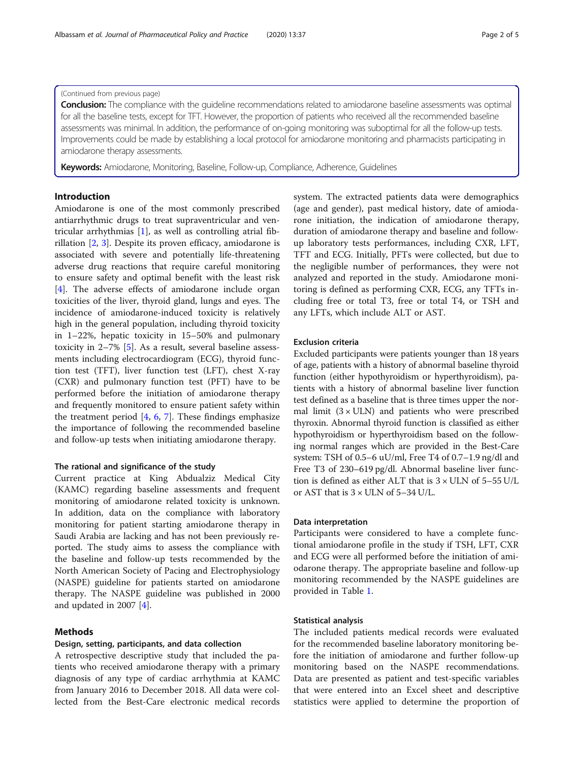# (Continued from previous page)

**Conclusion:** The compliance with the guideline recommendations related to amiodarone baseline assessments was optimal for all the baseline tests, except for TFT. However, the proportion of patients who received all the recommended baseline assessments was minimal. In addition, the performance of on-going monitoring was suboptimal for all the follow-up tests. Improvements could be made by establishing a local protocol for amiodarone monitoring and pharmacists participating in amiodarone therapy assessments.

Keywords: Amiodarone, Monitoring, Baseline, Follow-up, Compliance, Adherence, Guidelines

# Introduction

Amiodarone is one of the most commonly prescribed antiarrhythmic drugs to treat supraventricular and ventricular arrhythmias [[1\]](#page-3-0), as well as controlling atrial fibrillation [\[2](#page-3-0), [3](#page-4-0)]. Despite its proven efficacy, amiodarone is associated with severe and potentially life-threatening adverse drug reactions that require careful monitoring to ensure safety and optimal benefit with the least risk [[4\]](#page-4-0). The adverse effects of amiodarone include organ toxicities of the liver, thyroid gland, lungs and eyes. The incidence of amiodarone-induced toxicity is relatively high in the general population, including thyroid toxicity in 1–22%, hepatic toxicity in 15–50% and pulmonary toxicity in 2–7% [\[5](#page-4-0)]. As a result, several baseline assessments including electrocardiogram (ECG), thyroid function test (TFT), liver function test (LFT), chest X-ray (CXR) and pulmonary function test (PFT) have to be performed before the initiation of amiodarone therapy and frequently monitored to ensure patient safety within the treatment period  $[4, 6, 7]$  $[4, 6, 7]$  $[4, 6, 7]$  $[4, 6, 7]$  $[4, 6, 7]$  $[4, 6, 7]$ . These findings emphasize the importance of following the recommended baseline and follow-up tests when initiating amiodarone therapy.

#### The rational and significance of the study

Current practice at King Abdualziz Medical City (KAMC) regarding baseline assessments and frequent monitoring of amiodarone related toxicity is unknown. In addition, data on the compliance with laboratory monitoring for patient starting amiodarone therapy in Saudi Arabia are lacking and has not been previously reported. The study aims to assess the compliance with the baseline and follow-up tests recommended by the North American Society of Pacing and Electrophysiology (NASPE) guideline for patients started on amiodarone therapy. The NASPE guideline was published in 2000 and updated in 2007 [\[4](#page-4-0)].

# Methods

### Design, setting, participants, and data collection

A retrospective descriptive study that included the patients who received amiodarone therapy with a primary diagnosis of any type of cardiac arrhythmia at KAMC from January 2016 to December 2018. All data were collected from the Best-Care electronic medical records

system. The extracted patients data were demographics (age and gender), past medical history, date of amiodarone initiation, the indication of amiodarone therapy, duration of amiodarone therapy and baseline and followup laboratory tests performances, including CXR, LFT, TFT and ECG. Initially, PFTs were collected, but due to the negligible number of performances, they were not analyzed and reported in the study. Amiodarone monitoring is defined as performing CXR, ECG, any TFTs including free or total T3, free or total T4, or TSH and any LFTs, which include ALT or AST.

#### Exclusion criteria

Excluded participants were patients younger than 18 years of age, patients with a history of abnormal baseline thyroid function (either hypothyroidism or hyperthyroidism), patients with a history of abnormal baseline liver function test defined as a baseline that is three times upper the normal limit  $(3 \times ULN)$  and patients who were prescribed thyroxin. Abnormal thyroid function is classified as either hypothyroidism or hyperthyroidism based on the following normal ranges which are provided in the Best-Care system: TSH of 0.5–6 uU/ml, Free T4 of 0.7–1.9 ng/dl and Free T3 of 230–619 pg/dl. Abnormal baseline liver function is defined as either ALT that is 3 × ULN of 5–55 U/L or AST that is  $3 \times$  ULN of 5-34 U/L.

#### Data interpretation

Participants were considered to have a complete functional amiodarone profile in the study if TSH, LFT, CXR and ECG were all performed before the initiation of amiodarone therapy. The appropriate baseline and follow-up monitoring recommended by the NASPE guidelines are provided in Table [1](#page-2-0).

# Statistical analysis

The included patients medical records were evaluated for the recommended baseline laboratory monitoring before the initiation of amiodarone and further follow-up monitoring based on the NASPE recommendations. Data are presented as patient and test-specific variables that were entered into an Excel sheet and descriptive statistics were applied to determine the proportion of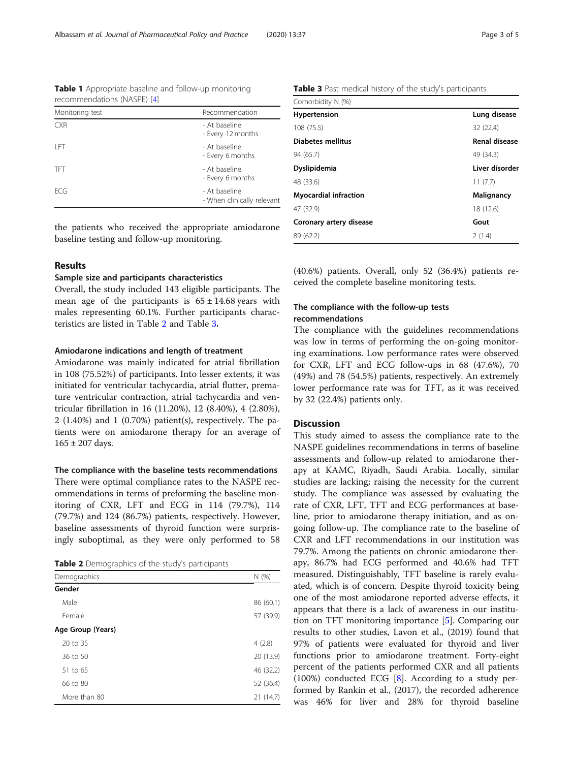the patients who received the appropriate amiodarone baseline testing and follow-up monitoring.

### Results

#### Sample size and participants characteristics

Overall, the study included 143 eligible participants. The mean age of the participants is  $65 \pm 14.68$  years with males representing 60.1%. Further participants characteristics are listed in Table 2 and Table 3.

# Amiodarone indications and length of treatment

Amiodarone was mainly indicated for atrial fibrillation in 108 (75.52%) of participants. Into lesser extents, it was initiated for ventricular tachycardia, atrial flutter, premature ventricular contraction, atrial tachycardia and ventricular fibrillation in 16 (11.20%), 12 (8.40%), 4 (2.80%), 2 (1.40%) and 1 (0.70%) patient(s), respectively. The patients were on amiodarone therapy for an average of  $165 \pm 207$  days.

#### The compliance with the baseline tests recommendations

There were optimal compliance rates to the NASPE recommendations in terms of preforming the baseline monitoring of CXR, LFT and ECG in 114 (79.7%), 114 (79.7%) and 124 (86.7%) patients, respectively. However, baseline assessments of thyroid function were surprisingly suboptimal, as they were only performed to 58

|  |  | Table 2 Demographics of the study's participants |  |  |  |
|--|--|--------------------------------------------------|--|--|--|
|--|--|--------------------------------------------------|--|--|--|

| Demographics      | N(%)      |  |
|-------------------|-----------|--|
| Gender            |           |  |
| Male              | 86 (60.1) |  |
| Female            | 57 (39.9) |  |
| Age Group (Years) |           |  |
| 20 to 35          | 4(2.8)    |  |
| 36 to 50          | 20 (13.9) |  |
| 51 to 65          | 46 (32.2) |  |
| 66 to 80          | 52 (36.4) |  |
| More than 80      | 21(14.7)  |  |

Table 3 Past medical history of the study's participants

| Comorbidity N (%)       |                |
|-------------------------|----------------|
| <b>Hypertension</b>     | Lung disease   |
| 108 (75.5)              | 32 (22.4)      |
| Diabetes mellitus       | Renal disease  |
| 94 (65.7)               | 49 (34.3)      |
| Dyslipidemia            | Liver disorder |
| 48 (33.6)               | 11(7.7)        |
| Myocardial infraction   | Malignancy     |
| 47 (32.9)               | 18 (12.6)      |
| Coronary artery disease | Gout           |
| 89 (62.2)               | 2(1.4)         |
|                         |                |

(40.6%) patients. Overall, only 52 (36.4%) patients received the complete baseline monitoring tests.

# The compliance with the follow-up tests recommendations

The compliance with the guidelines recommendations was low in terms of performing the on-going monitoring examinations. Low performance rates were observed for CXR, LFT and ECG follow-ups in 68 (47.6%), 70 (49%) and 78 (54.5%) patients, respectively. An extremely lower performance rate was for TFT, as it was received by 32 (22.4%) patients only.

#### **Discussion**

This study aimed to assess the compliance rate to the NASPE guidelines recommendations in terms of baseline assessments and follow-up related to amiodarone therapy at KAMC, Riyadh, Saudi Arabia. Locally, similar studies are lacking; raising the necessity for the current study. The compliance was assessed by evaluating the rate of CXR, LFT, TFT and ECG performances at baseline, prior to amiodarone therapy initiation, and as ongoing follow-up. The compliance rate to the baseline of CXR and LFT recommendations in our institution was 79.7%. Among the patients on chronic amiodarone therapy, 86.7% had ECG performed and 40.6% had TFT measured. Distinguishably, TFT baseline is rarely evaluated, which is of concern. Despite thyroid toxicity being one of the most amiodarone reported adverse effects, it appears that there is a lack of awareness in our institution on TFT monitoring importance [[5\]](#page-4-0). Comparing our results to other studies, Lavon et al., (2019) found that 97% of patients were evaluated for thyroid and liver functions prior to amiodarone treatment. Forty-eight percent of the patients performed CXR and all patients (100%) conducted ECG [[8\]](#page-4-0). According to a study performed by Rankin et al., (2017), the recorded adherence was 46% for liver and 28% for thyroid baseline

- Every 12 months

- Every 6 months

- Every 6 months

- When clinically relevant

<span id="page-2-0"></span>Table 1 Appropriate baseline and follow-up monitoring

Monitoring test **Recommendation** CXR - At baseline

LFT - At baseline

TFT - At baseline

ECG - At baseline

recommendations (NASPE) [\[4\]](#page-4-0)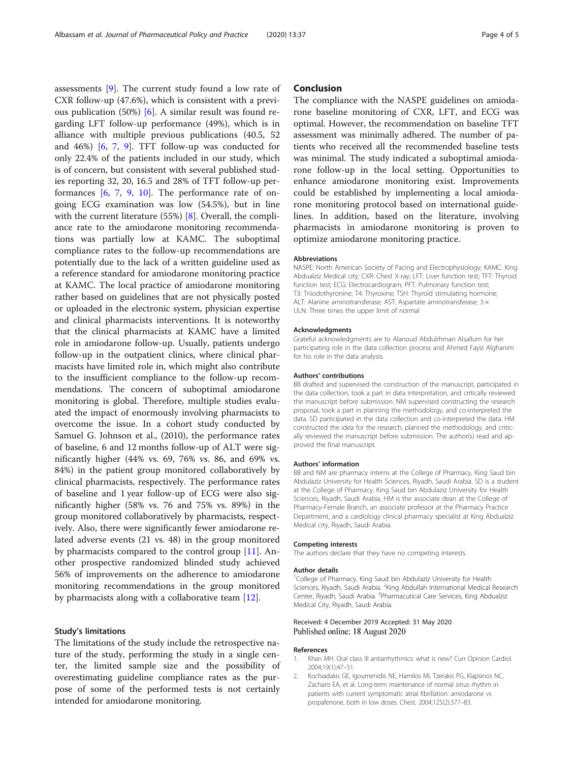<span id="page-3-0"></span>assessments [[9\]](#page-4-0). The current study found a low rate of CXR follow-up (47.6%), which is consistent with a previous publication (50%) [[6\]](#page-4-0). A similar result was found regarding LFT follow-up performance (49%), which is in alliance with multiple previous publications (40.5, 52 and 46%) [[6,](#page-4-0) [7,](#page-4-0) [9\]](#page-4-0). TFT follow-up was conducted for only 22.4% of the patients included in our study, which is of concern, but consistent with several published studies reporting 32, 20, 16.5 and 28% of TFT follow-up performances  $[6, 7, 9, 10]$  $[6, 7, 9, 10]$  $[6, 7, 9, 10]$  $[6, 7, 9, 10]$  $[6, 7, 9, 10]$  $[6, 7, 9, 10]$  $[6, 7, 9, 10]$ . The performance rate of ongoing ECG examination was low (54.5%), but in line with the current literature (55%) [\[8](#page-4-0)]. Overall, the compliance rate to the amiodarone monitoring recommendations was partially low at KAMC. The suboptimal compliance rates to the follow-up recommendations are potentially due to the lack of a written guideline used as a reference standard for amiodarone monitoring practice at KAMC. The local practice of amiodarone monitoring rather based on guidelines that are not physically posted or uploaded in the electronic system, physician expertise and clinical pharmacists interventions. It is noteworthy that the clinical pharmacists at KAMC have a limited role in amiodarone follow-up. Usually, patients undergo follow-up in the outpatient clinics, where clinical pharmacists have limited role in, which might also contribute to the insufficient compliance to the follow-up recommendations. The concern of suboptimal amiodarone monitoring is global. Therefore, multiple studies evaluated the impact of enormously involving pharmacists to overcome the issue. In a cohort study conducted by Samuel G. Johnson et al., (2010), the performance rates of baseline, 6 and 12 months follow-up of ALT were significantly higher (44% vs. 69, 76% vs. 86, and 69% vs. 84%) in the patient group monitored collaboratively by clinical pharmacists, respectively. The performance rates of baseline and 1 year follow-up of ECG were also significantly higher (58% vs. 76 and 75% vs. 89%) in the group monitored collaboratively by pharmacists, respectively. Also, there were significantly fewer amiodarone related adverse events (21 vs. 48) in the group monitored by pharmacists compared to the control group [\[11](#page-4-0)]. Another prospective randomized blinded study achieved 56% of improvements on the adherence to amiodarone monitoring recommendations in the group monitored by pharmacists along with a collaborative team [\[12](#page-4-0)].

# Study's limitations

The limitations of the study include the retrospective nature of the study, performing the study in a single center, the limited sample size and the possibility of overestimating guideline compliance rates as the purpose of some of the performed tests is not certainly intended for amiodarone monitoring.

### Conclusion

The compliance with the NASPE guidelines on amiodarone baseline monitoring of CXR, LFT, and ECG was optimal. However, the recommendation on baseline TFT assessment was minimally adhered. The number of patients who received all the recommended baseline tests was minimal. The study indicated a suboptimal amiodarone follow-up in the local setting. Opportunities to enhance amiodarone monitoring exist. Improvements could be established by implementing a local amiodarone monitoring protocol based on international guidelines. In addition, based on the literature, involving pharmacists in amiodarone monitoring is proven to optimize amiodarone monitoring practice.

#### Abbreviations

NASPE: North American Society of Pacing and Electrophysiology; KAMC: King Abdualziz Medical city; CXR: Chest X-ray; LFT: Liver function test; TFT: Thyroid function test; ECG: Electrocardiogram; PFT: Pulmonary function test; T3: Triiodothyronine; T4: Thyroxine; TSH: Thyroid stimulating hormone; ALT: Alanine aminotransferase; AST: Aspartate aminotransferase; 3  $\times$ ULN: Three times the upper limit of normal

#### Acknowledgments

Grateful acknowledgments are to Alanoud Abdulrhman Alsallum for her participating role in the data collection process and Ahmed Fayiz Alghanim for his role in the data analysis.

#### Authors' contributions

BB drafted and supervised the construction of the manuscript, participated in the data collection, took a part in data interpretation, and critically reviewed the manuscript before submission. NM supervised constructing the research proposal, took a part in planning the methodology, and co-interpreted the data. SD participated in the data collection and co-interpreted the data. HM constructed the idea for the research, planned the methodology, and critically reviewed the manuscript before submission. The author(s) read and approved the final manuscript.

#### Authors' information

BB and NM are pharmacy interns at the College of Pharmacy, King Saud bin Abdulaziz University for Health Sciences, Riyadh, Saudi Arabia. SD is a student at the College of Pharmacy, King Saud bin Abdulaziz University for Health Sciences, Riyadh, Saudi Arabia. HM is the associate dean at the College of Pharmacy-Female Branch, an associate professor at the Pharmacy Practice Department, and a cardiology clinical pharmacy specialist at King Abdualziz Medical city, Riyadh, Saudi Arabia.

#### Competing interests

The authors declare that they have no competing interests.

#### Author details

<sup>1</sup>College of Pharmacy, King Saud bin Abdulaziz University for Health Sciences, Riyadh, Saudi Arabia. <sup>2</sup>King Abdullah International Medical Research Center, Riyadh, Saudi Arabia. <sup>3</sup>Pharmacutical Care Services, King Abdualziz Medical City, Riyadh, Saudi Arabia.

#### Received: 4 December 2019 Accepted: 31 May 2020 Published online: 18 August 2020

#### References

- 1. Khan MH. Oral class III antiarrhythmics: what is new? Curr Opinion Cardiol. 2004;19(1):47–51.
- 2. Kochiadakis GE, Igoumenidis NE, Hamilos MI, Tzerakis PG, Klapsinos NC, Zacharis EA, et al. Long-term maintenance of normal sinus rhythm in patients with current symptomatic atrial fibrillation: amiodarone vs propafenone, both in low doses. Chest. 2004;125(2):377–83.